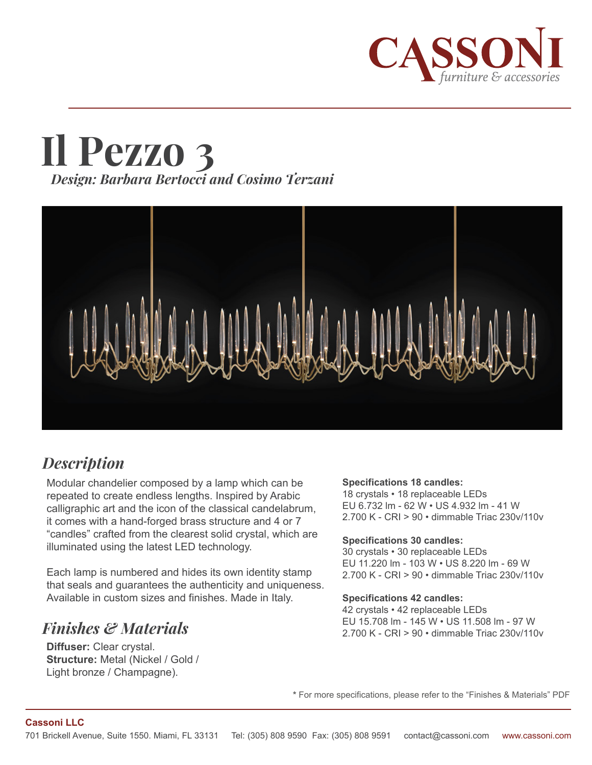

# **Il Pezzo 3** *Design: Barbara Bertocci and Cosimo Terzani*



## *Description*

Modular chandelier composed by a lamp which can be repeated to create endless lengths. Inspired by Arabic calligraphic art and the icon of the classical candelabrum, it comes with a hand-forged brass structure and 4 or 7 "candles" crafted from the clearest solid crystal, which are illuminated using the latest LED technology.

Each lamp is numbered and hides its own identity stamp that seals and guarantees the authenticity and uniqueness. Available in custom sizes and finishes. Made in Italy.

### *Finishes & Materials*

**Diffuser:** Clear crystal. **Structure:** Metal (Nickel / Gold / Light bronze / Champagne).

#### **Specifications 18 candles:**

18 crystals • 18 replaceable LEDs EU 6.732 lm - 62 W • US 4.932 lm - 41 W 2.700 K - CRI > 90 • dimmable Triac 230v/110v

#### **Specifications 30 candles:**

30 crystals • 30 replaceable LEDs EU 11.220 lm - 103 W • US 8.220 lm - 69 W 2.700 K - CRI > 90 • dimmable Triac 230v/110v

#### **Specifications 42 candles:**

42 crystals • 42 replaceable LEDs EU 15.708 lm - 145 W • US 11.508 lm - 97 W 2.700 K - CRI > 90 • dimmable Triac 230v/110v

**\*** For more specifications, please refer to the "Finishes & Materials" PDF